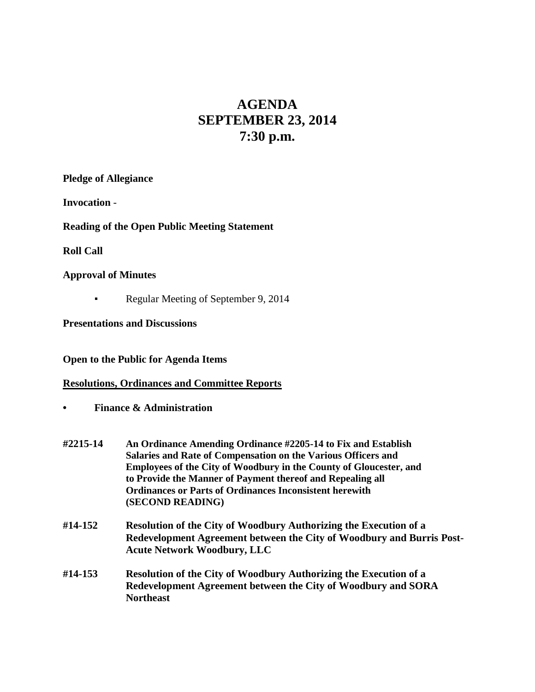# **AGENDA SEPTEMBER 23, 2014 7:30 p.m.**

**Pledge of Allegiance**

**Invocation** -

**Reading of the Open Public Meeting Statement**

**Roll Call**

## **Approval of Minutes**

Regular Meeting of September 9, 2014

**Presentations and Discussions**

**Open to the Public for Agenda Items**

## **Resolutions, Ordinances and Committee Reports**

- **• Finance & Administration**
- **#2215-14 An Ordinance Amending Ordinance #2205-14 to Fix and Establish Salaries and Rate of Compensation on the Various Officers and Employees of the City of Woodbury in the County of Gloucester, and to Provide the Manner of Payment thereof and Repealing all Ordinances or Parts of Ordinances Inconsistent herewith (SECOND READING)**
- **#14-152 Resolution of the City of Woodbury Authorizing the Execution of a Redevelopment Agreement between the City of Woodbury and Burris Post-Acute Network Woodbury, LLC**
- **#14-153 Resolution of the City of Woodbury Authorizing the Execution of a Redevelopment Agreement between the City of Woodbury and SORA Northeast**